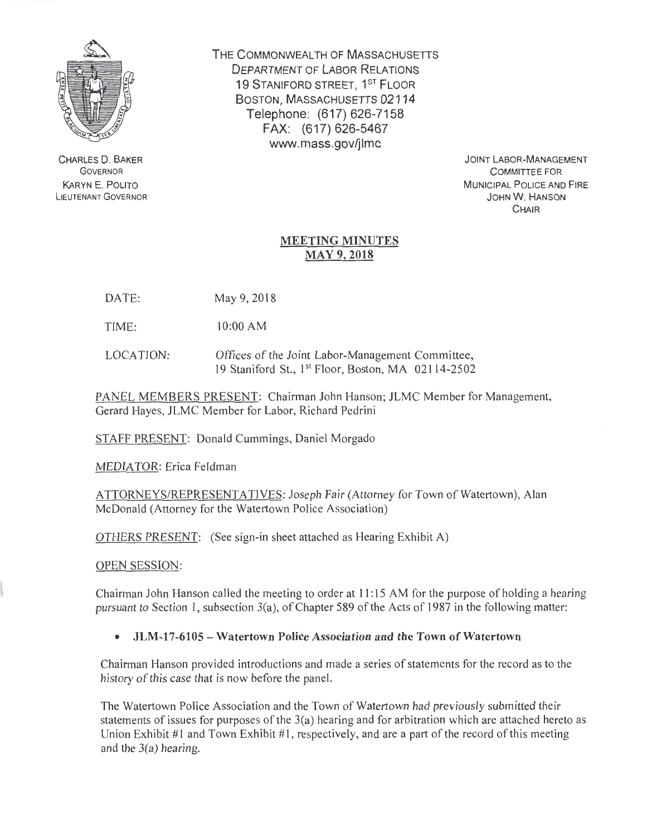

CHARLES 0. BAKER GOVERNOR KARYN E. POLITO LiEUTENANT GOVERNOR THE COMMONWEALTH OF MASSACHUSETTS DEPARTMENT OF LABOR RELATIONS 19 STANIFORD STREET, 1<sup>ST</sup> FLOOR BOSTON, MASSACHUSETTS 02114 Telephone: (617) 626-7158 FAX: (617) 626-5467 www.mass.gov/jlmc

> JOINT LABOR-MANAGEMENT COMMITTEE FOR MUNICIPAL POLICE AND FIRE JOHN W. HANSON **CHAIR**

## MEETING MINUTES MAY 9, 2018

DATE: May 9, 2018

TIME: 10:00 AM

LOCATION: Offices of the Joint Labor-Management Committee, 19 Staniford St., 1<sup>st</sup> Floor, Boston, MA 02114-2502

PANEL MEMBERS PRESENT: Chairman John Hanson; JLMC Member for Management, Gerard Hayes, JLMC Member for Labor, Richard Pedrini

STAFF PRESENT: Donald Cummings, Daniel Morgado

MEDIATOR: Erica Feldman

ATTORNEYS/REPRESENTATIVES: Joseph Fair (Attorney for Town of Watertown), Alan McDonald (Attorney for the Watertown Police Association)

OTHERS PRESENT: (See sign-in sheet attached as Hearing Exhibit A)

OPEN SESSION:

Chairman John Hanson called the meeting to order at II: 15 AM for the purpose of holding a hearing pursuant to Section I, subsection 3(a), of Chapter 589 of the Acts of 1987 in the following matter:

• JLM-17-6105- Watertown Police Association and the Town of Watertown

Chairman Hanson provided introductions and made a series of statements for the record as to the history of this case that is now before the panel.

The Watertown Police Association and the Town of Watertown had previously submitted their statements of issues for purposes of the 3(a) hearing and for arbitration which are attached hereto as Union Exhibit  $\#1$  and Town Exhibit  $\#1$ , respectively, and are a part of the record of this meeting and the 3(a) hearing.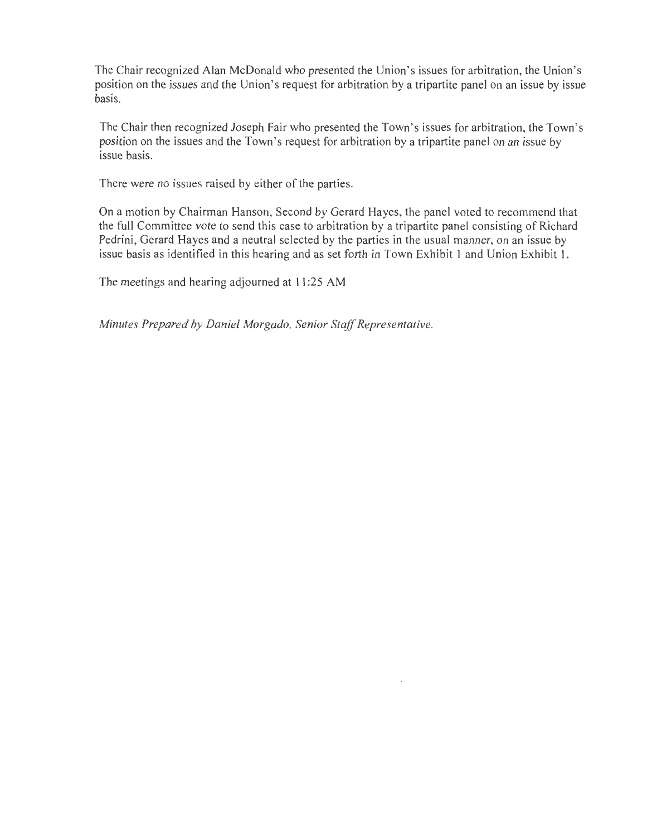The Chair recognized Alan McDonald who presented the Union's issues for arbitration, the Union's position on the issues and the Union's request for arbitration by a tripartite panel on an issue by issue basis.

The Chair then recognized Joseph Fair who presented the Town's issues for arbitration, the Town's position on the issues and the Town's request for arbitration by a tripartite panel on an issue by issue basis.

There were no issues raised by either of the parties.

On a motion by Chairman Hanson, Second by Gerard Hayes, the panel voted to recommend that the full Committee vote to send this case to arbitration by a tripartite panel consisting of Richard Pedrini, Gerard Hayes and a neutral selected by the parties in the usual manner, on an issue by issue basis as identified in this hearing and as set forth in Town Exhibit I and Union Exhibit I.

The meetings and hearing adjourned at II :25 AM

*Minutes Prepared by Daniel Morgado, Senior Staff Representative.*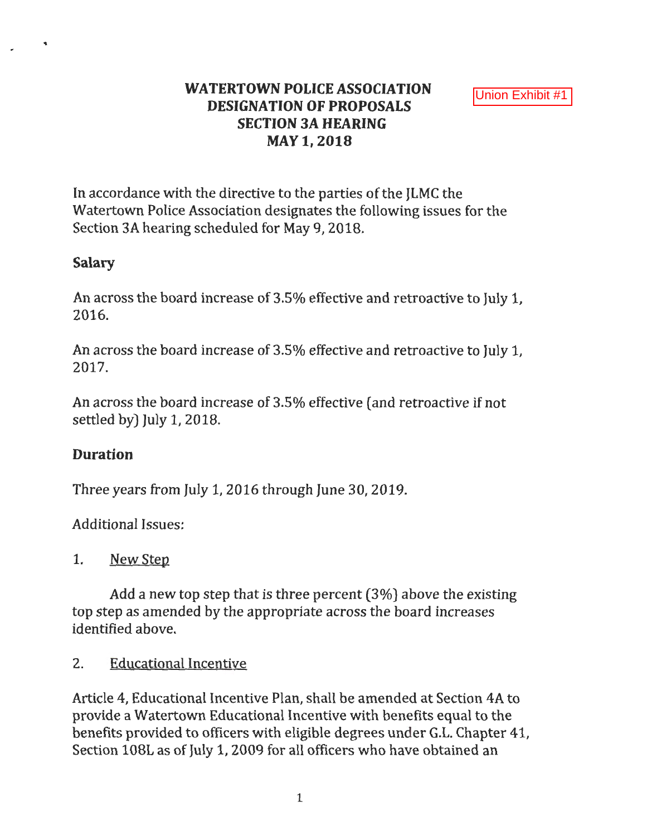# **WATERTOWN POLICE ASSOCIATION DESIGNATION OF PROPOSALS SECTION 3A HEARING MAY1,2018**

In accordance with the directive to the parties of the JLMC the Watertown Police Association designates the following issues for the Section 3A hearing scheduled for May 9, 2018.

## **Salary**

An across the board increase of 3.5% effective and retroactive to July 1, 2016.

An across the board increase of 3.5% effective and retroactive to July 1, 2017.

An across the board increase of 3.5% effective (and retroactive if not settled by) July 1, 2018.

# **Duration**

Three years from July *1,* 2016 through June 30, 2019.

Additional Issues:

## 1. New Step

Add a new top step that is three percent (3%) above the existing top step as amended by the appropriate across the board increases identified above.

## 2. Educational Incentive

Article 4, Educational Incentive Plan, shall be amended at Section 4A to provide a Watertown Educational Incentive with benefits equal to the benefits provided to officers with eligible degrees under G.L. Chanter 41. Section 108L as of July *1,* 2009 for all officers who have obtained an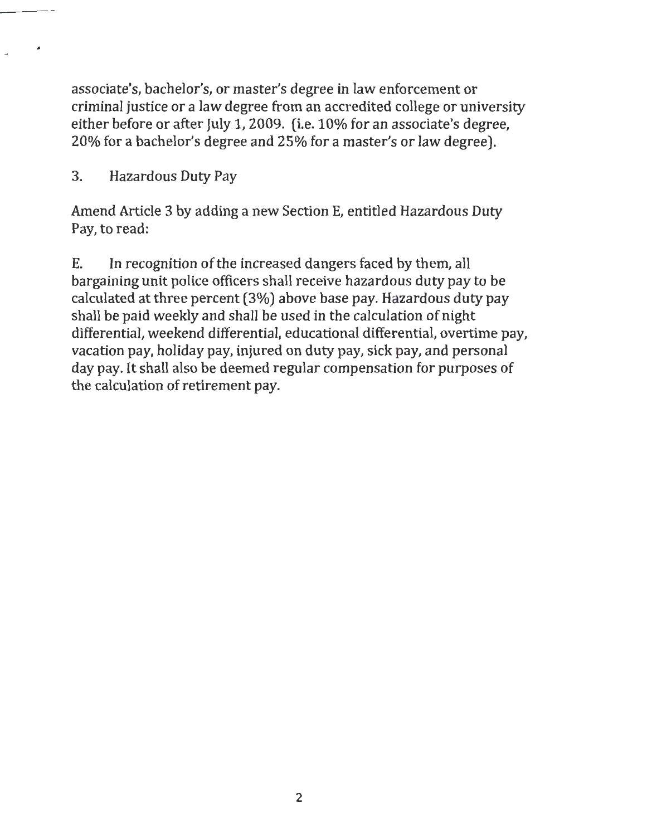associate's, bachelor's, or master's degree in law enforcement or criminal justice or a law degree from an accredited college or university either before or after July 1, 2009. (i.e. 10% for an associate's degree, 20% for a bachelor's degree and 25% for a master's or law degree).

3. Hazardous Duty Pay

•

Amend Article 3 by adding a new Section E, entitled Hazardous Duty Pay, to read:

E. In recognition of the increased dangers faced by them, all bargaining unit police officers shall receive hazardous duty pay to be calculated at three percent (3%) above base pay. Hazardous duty pay shall be paid weekly and shall be used in the calculation of night differential, weekend differential, educational differential, overtime pay, vacation pay, holiday pay, injured on duty pay, sick pay, and personal day pay. It shall also be deemed regular compensation for purposes of the calculation of retirement pay.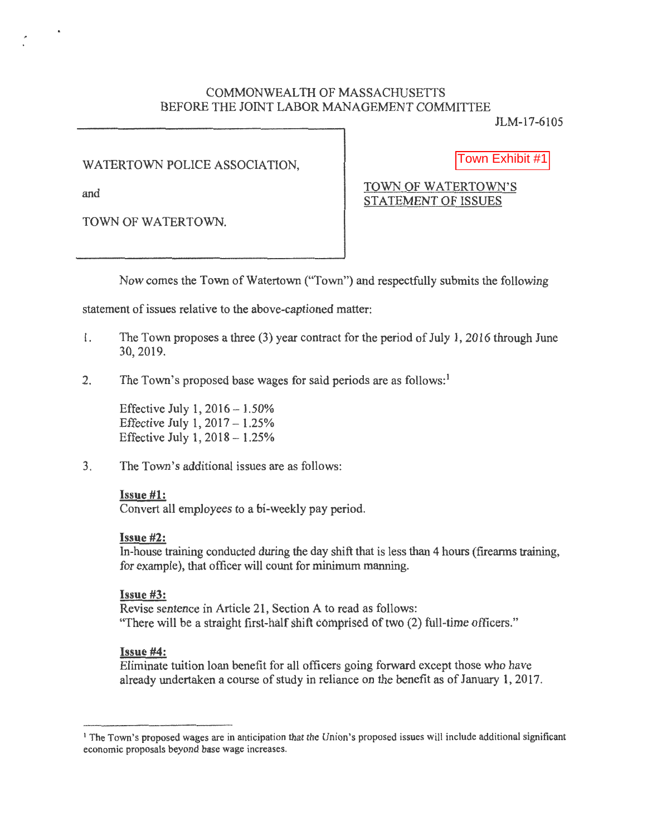## COMMONWEALTH OF MASSACHUSETTS BEFORE THE JOINT LABOR MANAGEMENT COMMITTEE

JLM-17 -6105

WATERTOWN POLICE ASSOCIATION,

Town Exhibit #1

TOWN OF WATERTOWN.

and TOWN OF WATERTOWN'S STATEMENT OF ISSUES

Now comes the Town of Watertown ("Town") and respectfully submits the following

statement of issues relative to the above-captioned matter:

- l . The Town proposes a three (3) year contract for the period of July 1, 2016 through June 30,2019.
- 2. The Town's proposed base wages for said periods are as follows:<sup>1</sup>

Effective July 1,  $2016 - 1.50\%$ Effective July 1,  $2017 - 1.25%$ Effective July 1,  $2018 - 1.25%$ 

3. The Town's additional issues are as follows;

## Issue #1:

Convert all employees to a bi-weekly pay period.

## Issue #2:

In-house training conducted during the day shift that is less than 4 hours (firearms training, for example), that officer will count for minimum manning.

## Issue #3:

Revise sentence in Article 21, Section A to read as follows: "There will be a straight first-half shift comprised of two (2) full-time officers."

## Issue #4:

Eliminate tuition loan benefit for all officers going forward except those who have already undertaken a course of study in reliance on the benefit as of January 1, 2017.

<sup>1</sup> The Town's proposed wages are in anticipation that the Union's proposed issues will include additional significant economic proposals beyond base wage increases.